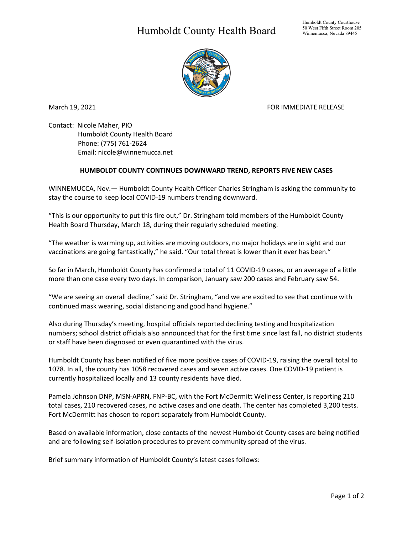## Humboldt County Health Board



March 19, 2021 **FOR IMMEDIATE RELEASE** 

Contact: Nicole Maher, PIO Humboldt County Health Board Phone: (775) 761-2624 Email: nicole@winnemucca.net

## **HUMBOLDT COUNTY CONTINUES DOWNWARD TREND, REPORTS FIVE NEW CASES**

WINNEMUCCA, Nev.— Humboldt County Health Officer Charles Stringham is asking the community to stay the course to keep local COVID-19 numbers trending downward.

"This is our opportunity to put this fire out," Dr. Stringham told members of the Humboldt County Health Board Thursday, March 18, during their regularly scheduled meeting.

"The weather is warming up, activities are moving outdoors, no major holidays are in sight and our vaccinations are going fantastically," he said. "Our total threat is lower than it ever has been."

So far in March, Humboldt County has confirmed a total of 11 COVID-19 cases, or an average of a little more than one case every two days. In comparison, January saw 200 cases and February saw 54.

"We are seeing an overall decline," said Dr. Stringham, "and we are excited to see that continue with continued mask wearing, social distancing and good hand hygiene."

Also during Thursday's meeting, hospital officials reported declining testing and hospitalization numbers; school district officials also announced that for the first time since last fall, no district students or staff have been diagnosed or even quarantined with the virus.

Humboldt County has been notified of five more positive cases of COVID-19, raising the overall total to 1078. In all, the county has 1058 recovered cases and seven active cases. One COVID-19 patient is currently hospitalized locally and 13 county residents have died.

Pamela Johnson DNP, MSN-APRN, FNP-BC, with the Fort McDermitt Wellness Center, is reporting 210 total cases, 210 recovered cases, no active cases and one death. The center has completed 3,200 tests. Fort McDermitt has chosen to report separately from Humboldt County.

Based on available information, close contacts of the newest Humboldt County cases are being notified and are following self-isolation procedures to prevent community spread of the virus.

Brief summary information of Humboldt County's latest cases follows: